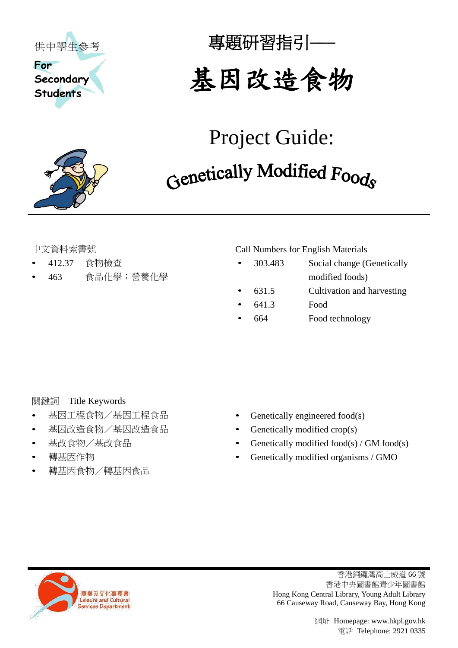

專題研習指引**───**

# 基因改造食物

# Project Guide: Genetically Modified Foods

- 
- 

中文資料索書號 Call Numbers for English Materials

- 412.37 食物檢查 303.483 Social change (Genetically • 463 食品化學;營養化學 modified foods)
	- 631.5 Cultivation and harvesting
	- 641.3 Food
	- 664 Food technology

### **關鍵詞** Title Keywords

- 
- 基因改造食物/基因改造食品 Genetically modified crop(s)
- 
- 
- 轉基因食物/轉基因食品
- 基因工程食物/基因工程食品 Genetically engineered food(s)
	-
- 基改食物/基改食品 Genetically modified food(s) / GM food(s)
- 轉基因作物 Genetically modified organisms / GMO



香港銅鑼灣高士威道 66 號 香港中央圖書館青少年圖書館 Hong Kong Central Library, Young Adult Library 66 Causeway Road, Causeway Bay, Hong Kong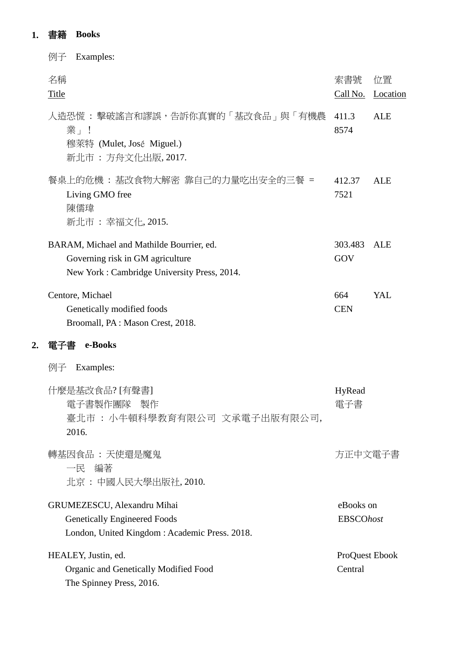## **1.** 書籍 **Books**

**2.** 電子書 **e-Books**

| Examples:<br>例子                                                                                                              |                               |                |
|------------------------------------------------------------------------------------------------------------------------------|-------------------------------|----------------|
| 名稱<br>Title                                                                                                                  | 索書號<br>Call No.               | 位置<br>Location |
| 人造恐慌 : 擊破謠言和謬誤,告訴你真實的「基改食品」與「有機農<br>業」!<br>穆萊特 (Mulet, José Miguel.)<br>新北市 : 方舟文化出版, 2017.                                  | 411.3<br>8574                 | <b>ALE</b>     |
| 餐桌上的危機 : 基改食物大解密 靠自己的力量吃出安全的三餐 =<br>Living GMO free<br>陳儒瑋<br>新北市 : 幸福文化, 2015.                                              | 412.37<br>7521                | ALE            |
| BARAM, Michael and Mathilde Bourrier, ed.<br>Governing risk in GM agriculture<br>New York: Cambridge University Press, 2014. | 303.483<br>GOV                | <b>ALE</b>     |
| Centore, Michael<br>Genetically modified foods<br>Broomall, PA: Mason Crest, 2018.                                           | 664<br><b>CEN</b>             | YAL            |
| e-Books<br>電子書                                                                                                               |                               |                |
| Examples:<br>例子                                                                                                              |                               |                |
| 什麼是基改食品? [有聲書]<br>電子書製作團隊 製作<br>臺北市:小牛頓科學教育有限公司 文承電子出版有限公司,<br>2016.                                                         | HyRead                        |                |
| 轉基因食品 : 天使還是魔鬼<br>一民 編著<br>北京 : 中國人民大學出版社, 2010.                                                                             | 方正中文電子書                       |                |
| GRUMEZESCU, Alexandru Mihai<br><b>Genetically Engineered Foods</b><br>London, United Kingdom: Academic Press. 2018.          | eBooks on<br><b>EBSCOhost</b> |                |
| HEALEY, Justin, ed.<br>Organic and Genetically Modified Food<br>The Spinney Press, 2016.                                     | ProQuest Ebook<br>Central     |                |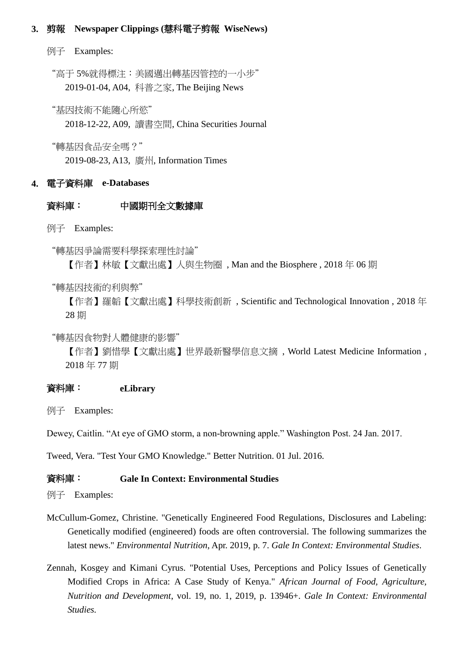#### **3.** 剪報 **Newspaper Clippings (**慧科電子剪報 **WiseNews)**

例子 Examples:

"高于 5%就得標注:美國邁出轉基因管控的一小步" 2019-01-04, A04, 科普之家, The Beijing News

"基因技術不能隨心所慾"

2018-12-22, A09, 讀書空間, China Securities Journal

"轉基因食品安全嗎?"

2019-08-23, A13, 廣州, Information Times

#### **4.** 電子資料庫 **e-Databases**

#### 資料庫: 中國期刊全文數據庫

例子 Examples:

"轉基因爭論需要科學探索理性討論"

【作者】林敏【文獻出處】人與生物圈 , Man and the Biosphere , 2018 年 06 期

"轉基因技術的利與弊"

【作者】羅韜【文獻出處】科學技術創新 , Scientific and Technological Innovation , 2018 年 28 期

"轉基因食物對人體健康的影響"

【作者】劉惜學【文獻出處】世界最新醫學信息文摘 , World Latest Medicine Information , 2018 年 77 期

#### 資料庫: **eLibrary**

例子 Examples:

Dewey, Caitlin. "At eye of GMO storm, a non-browning apple." Washington Post. 24 Jan. 2017.

Tweed, Vera. "Test Your GMO Knowledge." Better Nutrition. 01 Jul. 2016.

#### 資料庫: **Gale In Context: Environmental Studies**

例子 Examples:

- McCullum-Gomez, Christine. "Genetically Engineered Food Regulations, Disclosures and Labeling: Genetically modified (engineered) foods are often controversial. The following summarizes the latest news." *Environmental Nutrition*, Apr. 2019, p. 7. *Gale In Context: Environmental Studies*.
- Zennah, Kosgey and Kimani Cyrus. "Potential Uses, Perceptions and Policy Issues of Genetically Modified Crops in Africa: A Case Study of Kenya." *African Journal of Food, Agriculture, Nutrition and Development*, vol. 19, no. 1, 2019, p. 13946+. *Gale In Context: Environmental Studies.*